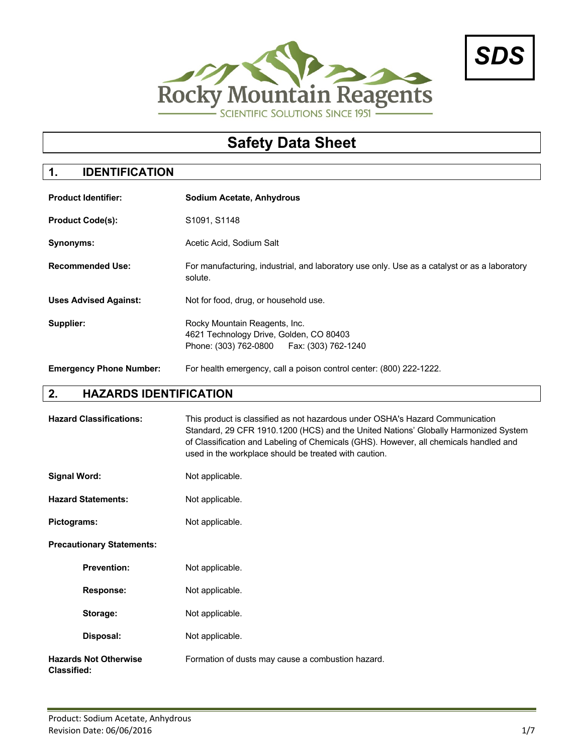



# **Safety Data Sheet**

# **1. IDENTIFICATION**

| <b>Product Identifier:</b>     | <b>Sodium Acetate, Anhydrous</b>                                                                                        |  |
|--------------------------------|-------------------------------------------------------------------------------------------------------------------------|--|
| <b>Product Code(s):</b>        | S1091, S1148                                                                                                            |  |
| <b>Synonyms:</b>               | Acetic Acid, Sodium Salt                                                                                                |  |
| <b>Recommended Use:</b>        | For manufacturing, industrial, and laboratory use only. Use as a catalyst or as a laboratory<br>solute.                 |  |
| <b>Uses Advised Against:</b>   | Not for food, drug, or household use.                                                                                   |  |
| Supplier:                      | Rocky Mountain Reagents, Inc.<br>4621 Technology Drive, Golden, CO 80403<br>Phone: (303) 762-0800   Fax: (303) 762-1240 |  |
| <b>Emergency Phone Number:</b> | For health emergency, call a poison control center: (800) 222-1222.                                                     |  |

# **2. HAZARDS IDENTIFICATION**

| <b>Hazard Classifications:</b>                     | This product is classified as not hazardous under OSHA's Hazard Communication<br>Standard, 29 CFR 1910.1200 (HCS) and the United Nations' Globally Harmonized System<br>of Classification and Labeling of Chemicals (GHS). However, all chemicals handled and<br>used in the workplace should be treated with caution. |
|----------------------------------------------------|------------------------------------------------------------------------------------------------------------------------------------------------------------------------------------------------------------------------------------------------------------------------------------------------------------------------|
| <b>Signal Word:</b>                                | Not applicable.                                                                                                                                                                                                                                                                                                        |
| <b>Hazard Statements:</b>                          | Not applicable.                                                                                                                                                                                                                                                                                                        |
| Pictograms:                                        | Not applicable.                                                                                                                                                                                                                                                                                                        |
| <b>Precautionary Statements:</b>                   |                                                                                                                                                                                                                                                                                                                        |
| <b>Prevention:</b>                                 | Not applicable.                                                                                                                                                                                                                                                                                                        |
| <b>Response:</b>                                   | Not applicable.                                                                                                                                                                                                                                                                                                        |
| Storage:                                           | Not applicable.                                                                                                                                                                                                                                                                                                        |
| Disposal:                                          | Not applicable.                                                                                                                                                                                                                                                                                                        |
| <b>Hazards Not Otherwise</b><br><b>Classified:</b> | Formation of dusts may cause a combustion hazard.                                                                                                                                                                                                                                                                      |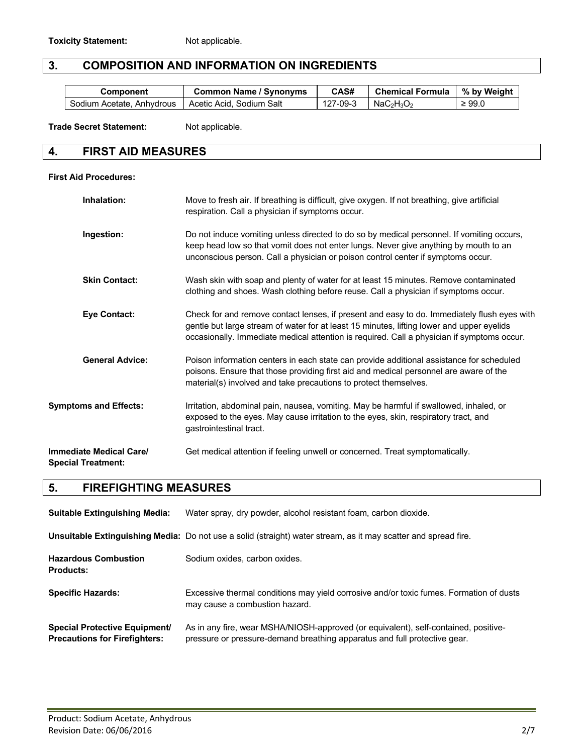#### **3. COMPOSITION AND INFORMATION ON INGREDIENTS**

| Component                 | <b>Common Name / Synonyms</b> | CAS#     | Chemical Formula   % by Weight |             |
|---------------------------|-------------------------------|----------|--------------------------------|-------------|
| Sodium Acetate, Anhydrous | Acetic Acid, Sodium Salt      | 127-09-3 | $NaC2H3O2$                     | $\geq 99.0$ |

**Trade Secret Statement:** Not applicable.

#### **4. FIRST AID MEASURES**

#### **First Aid Procedures:**

| Inhalation:                                          | Move to fresh air. If breathing is difficult, give oxygen. If not breathing, give artificial<br>respiration. Call a physician if symptoms occur.                                                                                                                                       |
|------------------------------------------------------|----------------------------------------------------------------------------------------------------------------------------------------------------------------------------------------------------------------------------------------------------------------------------------------|
| Ingestion:                                           | Do not induce vomiting unless directed to do so by medical personnel. If vomiting occurs,<br>keep head low so that vomit does not enter lungs. Never give anything by mouth to an<br>unconscious person. Call a physician or poison control center if symptoms occur.                  |
| <b>Skin Contact:</b>                                 | Wash skin with soap and plenty of water for at least 15 minutes. Remove contaminated<br>clothing and shoes. Wash clothing before reuse. Call a physician if symptoms occur.                                                                                                            |
| <b>Eye Contact:</b>                                  | Check for and remove contact lenses, if present and easy to do. Immediately flush eyes with<br>gentle but large stream of water for at least 15 minutes, lifting lower and upper eyelids<br>occasionally. Immediate medical attention is required. Call a physician if symptoms occur. |
| <b>General Advice:</b>                               | Poison information centers in each state can provide additional assistance for scheduled<br>poisons. Ensure that those providing first aid and medical personnel are aware of the<br>material(s) involved and take precautions to protect themselves.                                  |
| <b>Symptoms and Effects:</b>                         | Irritation, abdominal pain, nausea, vomiting. May be harmful if swallowed, inhaled, or<br>exposed to the eyes. May cause irritation to the eyes, skin, respiratory tract, and<br>gastrointestinal tract.                                                                               |
| Immediate Medical Care/<br><b>Special Treatment:</b> | Get medical attention if feeling unwell or concerned. Treat symptomatically.                                                                                                                                                                                                           |

# **5. FIREFIGHTING MEASURES**

| <b>Suitable Extinguishing Media:</b>                                         | Water spray, dry powder, alcohol resistant foam, carbon dioxide.                                                                                                 |
|------------------------------------------------------------------------------|------------------------------------------------------------------------------------------------------------------------------------------------------------------|
|                                                                              | <b>Unsuitable Extinguishing Media:</b> Do not use a solid (straight) water stream, as it may scatter and spread fire.                                            |
| <b>Hazardous Combustion</b><br><b>Products:</b>                              | Sodium oxides, carbon oxides.                                                                                                                                    |
| <b>Specific Hazards:</b>                                                     | Excessive thermal conditions may yield corrosive and/or toxic fumes. Formation of dusts<br>may cause a combustion hazard.                                        |
| <b>Special Protective Equipment/</b><br><b>Precautions for Firefighters:</b> | As in any fire, wear MSHA/NIOSH-approved (or equivalent), self-contained, positive-<br>pressure or pressure-demand breathing apparatus and full protective gear. |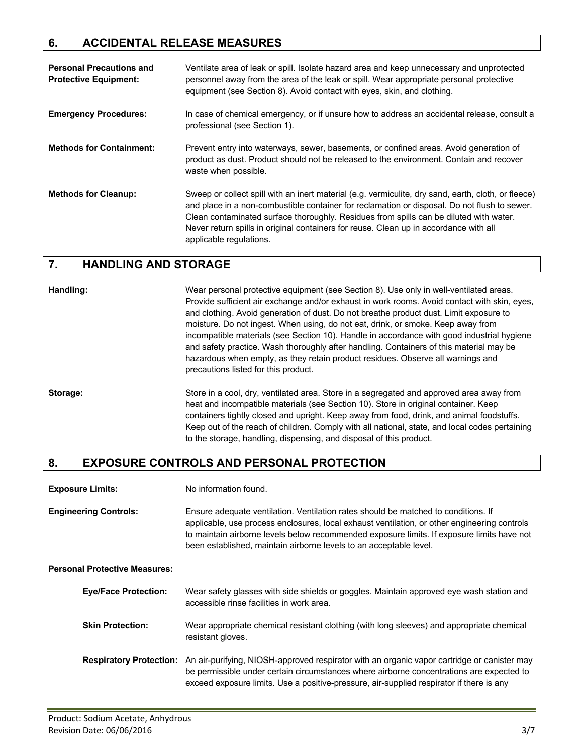#### **6. ACCIDENTAL RELEASE MEASURES**

| <b>Personal Precautions and</b><br><b>Protective Equipment:</b> | Ventilate area of leak or spill. Isolate hazard area and keep unnecessary and unprotected<br>personnel away from the area of the leak or spill. Wear appropriate personal protective<br>equipment (see Section 8). Avoid contact with eyes, skin, and clothing.                                                                                                                                                   |
|-----------------------------------------------------------------|-------------------------------------------------------------------------------------------------------------------------------------------------------------------------------------------------------------------------------------------------------------------------------------------------------------------------------------------------------------------------------------------------------------------|
| <b>Emergency Procedures:</b>                                    | In case of chemical emergency, or if unsure how to address an accidental release, consult a<br>professional (see Section 1).                                                                                                                                                                                                                                                                                      |
| <b>Methods for Containment:</b>                                 | Prevent entry into waterways, sewer, basements, or confined areas. Avoid generation of<br>product as dust. Product should not be released to the environment. Contain and recover<br>waste when possible.                                                                                                                                                                                                         |
| <b>Methods for Cleanup:</b>                                     | Sweep or collect spill with an inert material (e.g. vermiculite, dry sand, earth, cloth, or fleece)<br>and place in a non-combustible container for reclamation or disposal. Do not flush to sewer.<br>Clean contaminated surface thoroughly. Residues from spills can be diluted with water.<br>Never return spills in original containers for reuse. Clean up in accordance with all<br>applicable regulations. |

#### **7. HANDLING AND STORAGE**

**Handling:** Wear personal protective equipment (see Section 8). Use only in well-ventilated areas. Provide sufficient air exchange and/or exhaust in work rooms. Avoid contact with skin, eyes, and clothing. Avoid generation of dust. Do not breathe product dust. Limit exposure to moisture. Do not ingest. When using, do not eat, drink, or smoke. Keep away from incompatible materials (see Section 10). Handle in accordance with good industrial hygiene and safety practice. Wash thoroughly after handling. Containers of this material may be hazardous when empty, as they retain product residues. Observe all warnings and precautions listed for this product.

**Storage:** Store in a cool, dry, ventilated area. Store in a segregated and approved area away from heat and incompatible materials (see Section 10). Store in original container. Keep containers tightly closed and upright. Keep away from food, drink, and animal foodstuffs. Keep out of the reach of children. Comply with all national, state, and local codes pertaining to the storage, handling, dispensing, and disposal of this product.

#### **8. EXPOSURE CONTROLS AND PERSONAL PROTECTION**

**Engineering Controls:** Ensure adequate ventilation. Ventilation rates should be matched to conditions. If applicable, use process enclosures, local exhaust ventilation, or other engineering controls to maintain airborne levels below recommended exposure limits. If exposure limits have not been established, maintain airborne levels to an acceptable level.

**Personal Protective Measures:**

| <b>Eye/Face Protection:</b> | Wear safety glasses with side shields or goggles. Maintain approved eye wash station and<br>accessible rinse facilities in work area.                                                                                                                                                                       |
|-----------------------------|-------------------------------------------------------------------------------------------------------------------------------------------------------------------------------------------------------------------------------------------------------------------------------------------------------------|
| <b>Skin Protection:</b>     | Wear appropriate chemical resistant clothing (with long sleeves) and appropriate chemical<br>resistant gloves.                                                                                                                                                                                              |
|                             | Respiratory Protection: An air-purifying, NIOSH-approved respirator with an organic vapor cartridge or canister may<br>be permissible under certain circumstances where airborne concentrations are expected to<br>exceed exposure limits. Use a positive-pressure, air-supplied respirator if there is any |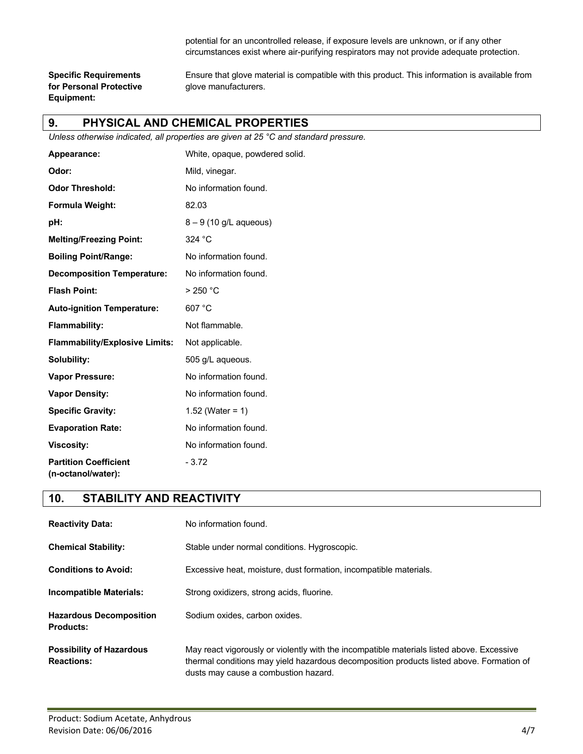potential for an uncontrolled release, if exposure levels are unknown, or if any other circumstances exist where air-purifying respirators may not provide adequate protection.

**for Personal Protective glove manufacturers. Equipment:**

**Specific Requirements** Ensure that glove material is compatible with this product. This information is available from

#### **9. PHYSICAL AND CHEMICAL PROPERTIES**

*Unless otherwise indicated, all properties are given at 25 °C and standard pressure.*

| Appearance:                                        | White, opaque, powdered solid. |
|----------------------------------------------------|--------------------------------|
| Odor:                                              | Mild, vinegar.                 |
| <b>Odor Threshold:</b>                             | No information found.          |
| Formula Weight:                                    | 82.03                          |
| pH:                                                | $8 - 9$ (10 g/L aqueous)       |
| <b>Melting/Freezing Point:</b>                     | 324 °C                         |
| <b>Boiling Point/Range:</b>                        | No information found.          |
| <b>Decomposition Temperature:</b>                  | No information found.          |
| <b>Flash Point:</b>                                | $>250$ °C                      |
| <b>Auto-ignition Temperature:</b>                  | 607 °C                         |
| <b>Flammability:</b>                               | Not flammable.                 |
| <b>Flammability/Explosive Limits:</b>              | Not applicable.                |
| Solubility:                                        | 505 g/L aqueous.               |
| <b>Vapor Pressure:</b>                             | No information found.          |
| <b>Vapor Density:</b>                              | No information found.          |
| <b>Specific Gravity:</b>                           | 1.52 (Water = $1)$             |
| <b>Evaporation Rate:</b>                           | No information found.          |
| <b>Viscosity:</b>                                  | No information found.          |
| <b>Partition Coefficient</b><br>(n-octanol/water): | $-3.72$                        |

#### **10. STABILITY AND REACTIVITY**

| <b>Reactivity Data:</b>                              | No information found.                                                                                                                                                                                                         |  |
|------------------------------------------------------|-------------------------------------------------------------------------------------------------------------------------------------------------------------------------------------------------------------------------------|--|
| <b>Chemical Stability:</b>                           | Stable under normal conditions. Hygroscopic.                                                                                                                                                                                  |  |
| <b>Conditions to Avoid:</b>                          | Excessive heat, moisture, dust formation, incompatible materials.                                                                                                                                                             |  |
| Incompatible Materials:                              | Strong oxidizers, strong acids, fluorine.                                                                                                                                                                                     |  |
| <b>Hazardous Decomposition</b><br><b>Products:</b>   | Sodium oxides, carbon oxides.                                                                                                                                                                                                 |  |
| <b>Possibility of Hazardous</b><br><b>Reactions:</b> | May react vigorously or violently with the incompatible materials listed above. Excessive<br>thermal conditions may yield hazardous decomposition products listed above. Formation of<br>dusts may cause a combustion hazard. |  |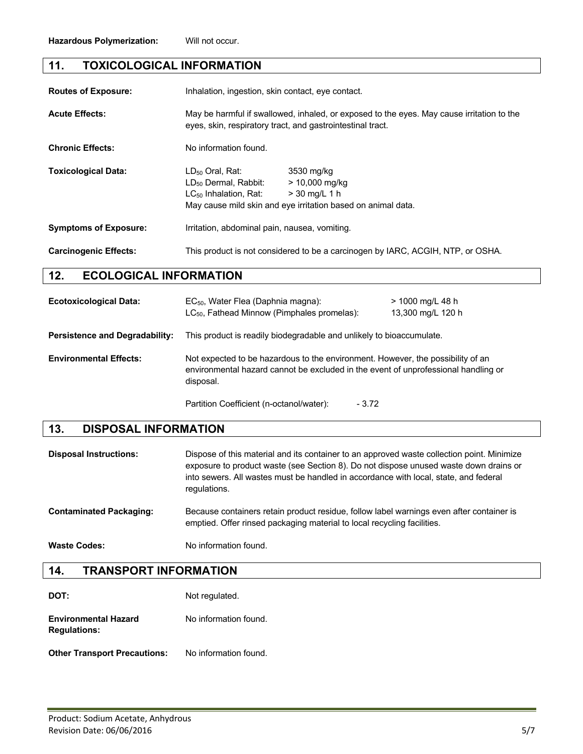#### **11. TOXICOLOGICAL INFORMATION**

| <b>Routes of Exposure:</b>   | Inhalation, ingestion, skin contact, eye contact.                                                                                                       |                                                                                                                   |  |
|------------------------------|---------------------------------------------------------------------------------------------------------------------------------------------------------|-------------------------------------------------------------------------------------------------------------------|--|
| <b>Acute Effects:</b>        | May be harmful if swallowed, inhaled, or exposed to the eyes. May cause irritation to the<br>eyes, skin, respiratory tract, and gastrointestinal tract. |                                                                                                                   |  |
| <b>Chronic Effects:</b>      | No information found.                                                                                                                                   |                                                                                                                   |  |
| <b>Toxicological Data:</b>   | $LD_{50}$ Oral, Rat:<br>LD <sub>50</sub> Dermal, Rabbit:<br>$LC_{50}$ Inhalation, Rat:                                                                  | 3530 mg/kg<br>$> 10,000$ mg/kg<br>$>$ 30 mg/L 1 h<br>May cause mild skin and eye irritation based on animal data. |  |
| <b>Symptoms of Exposure:</b> | Irritation, abdominal pain, nausea, vomiting.                                                                                                           |                                                                                                                   |  |
| <b>Carcinogenic Effects:</b> | This product is not considered to be a carcinogen by IARC, ACGIH, NTP, or OSHA.                                                                         |                                                                                                                   |  |

#### **12. ECOLOGICAL INFORMATION**

| <b>Ecotoxicological Data:</b>         | EC <sub>50</sub> , Water Flea (Daphnia magna):<br>$LC_{50}$ , Fathead Minnow (Pimphales promelas):                                                                                 | > 1000 mg/L 48 h<br>13,300 mg/L 120 h |  |
|---------------------------------------|------------------------------------------------------------------------------------------------------------------------------------------------------------------------------------|---------------------------------------|--|
| <b>Persistence and Degradability:</b> | This product is readily biodegradable and unlikely to bioaccumulate.                                                                                                               |                                       |  |
| <b>Environmental Effects:</b>         | Not expected to be hazardous to the environment. However, the possibility of an<br>environmental hazard cannot be excluded in the event of unprofessional handling or<br>disposal. |                                       |  |
|                                       | Partition Coefficient (n-octanol/water):<br>- 3.72                                                                                                                                 |                                       |  |

#### **13. DISPOSAL INFORMATION**

| <b>Disposal Instructions:</b>  | Dispose of this material and its container to an approved waste collection point. Minimize<br>exposure to product waste (see Section 8). Do not dispose unused waste down drains or<br>into sewers. All wastes must be handled in accordance with local, state, and federal<br>regulations. |
|--------------------------------|---------------------------------------------------------------------------------------------------------------------------------------------------------------------------------------------------------------------------------------------------------------------------------------------|
| <b>Contaminated Packaging:</b> | Because containers retain product residue, follow label warnings even after container is<br>emptied. Offer rinsed packaging material to local recycling facilities.                                                                                                                         |
| <b>Waste Codes:</b>            | No information found.                                                                                                                                                                                                                                                                       |

#### **14. TRANSPORT INFORMATION**

| DOT:                                               | Not regulated.        |
|----------------------------------------------------|-----------------------|
| <b>Environmental Hazard</b><br><b>Regulations:</b> | No information found. |

#### **Other Transport Precautions:** No information found.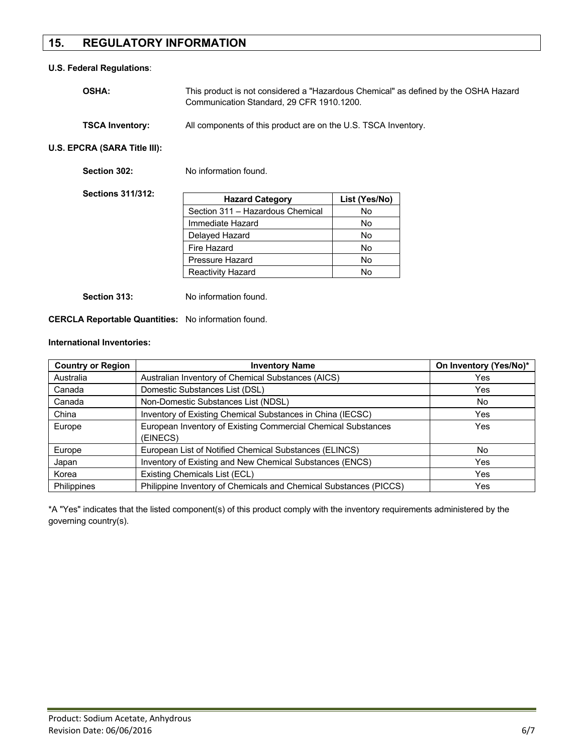#### **15. REGULATORY INFORMATION**

#### **U.S. Federal Regulations**:

| <b>OSHA:</b>           | This product is not considered a "Hazardous Chemical" as defined by the OSHA Hazard<br>Communication Standard, 29 CFR 1910.1200. |  |
|------------------------|----------------------------------------------------------------------------------------------------------------------------------|--|
| <b>TSCA Inventory:</b> | All components of this product are on the U.S. TSCA Inventory.                                                                   |  |

**U.S. EPCRA (SARA Title III):**

| Section 302:             | No information found.            |               |
|--------------------------|----------------------------------|---------------|
| <b>Sections 311/312:</b> | <b>Hazard Category</b>           | List (Yes/No) |
|                          | Section 311 - Hazardous Chemical | No            |
|                          | Immediate Hazard                 | No.           |
|                          | Delayed Hazard                   | No            |
|                          | Fire Hazard                      | No.           |
|                          | Pressure Hazard                  | No            |
|                          | <b>Reactivity Hazard</b>         | No            |
|                          |                                  |               |

**Section 313:** No information found.

**CERCLA Reportable Quantities:** No information found.

#### **International Inventories:**

| <b>Country or Region</b> | <b>Inventory Name</b>                                             | On Inventory (Yes/No)* |
|--------------------------|-------------------------------------------------------------------|------------------------|
| Australia                | Australian Inventory of Chemical Substances (AICS)                | Yes                    |
| Canada                   | Domestic Substances List (DSL)                                    | Yes                    |
| Canada                   | Non-Domestic Substances List (NDSL)                               | No                     |
| China                    | Inventory of Existing Chemical Substances in China (IECSC)        | Yes                    |
| Europe                   | European Inventory of Existing Commercial Chemical Substances     | Yes                    |
|                          | (EINECS)                                                          |                        |
| Europe                   | European List of Notified Chemical Substances (ELINCS)            | No.                    |
| Japan                    | Inventory of Existing and New Chemical Substances (ENCS)          | Yes                    |
| Korea                    | Existing Chemicals List (ECL)                                     | Yes                    |
| <b>Philippines</b>       | Philippine Inventory of Chemicals and Chemical Substances (PICCS) | Yes                    |

\*A "Yes" indicates that the listed component(s) of this product comply with the inventory requirements administered by the governing country(s).